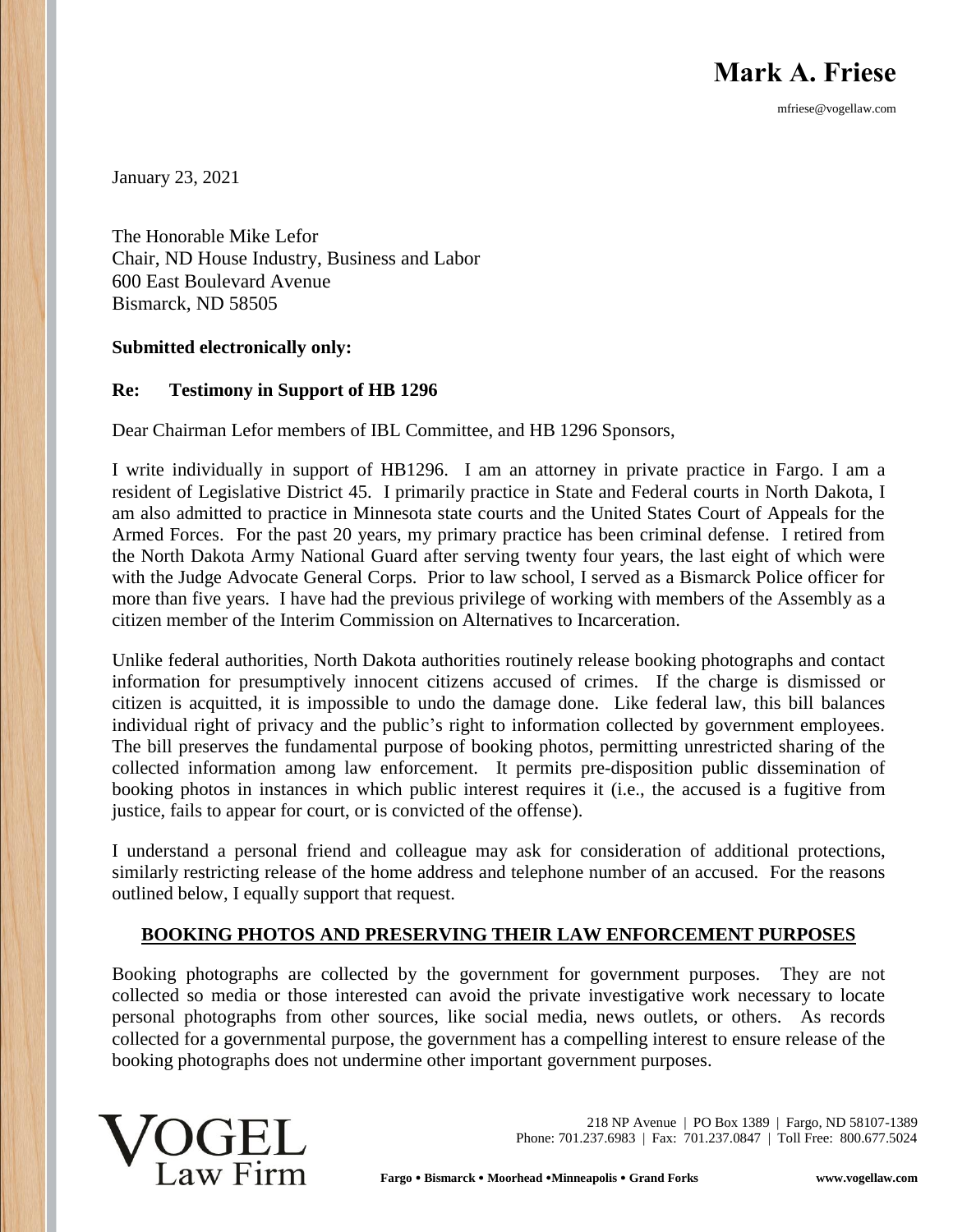**Mark A. Friese**

mfriese@vogellaw.com

January 23, 2021

The Honorable Mike Lefor Chair, ND House Industry, Business and Labor 600 East Boulevard Avenue Bismarck, ND 58505

#### **Submitted electronically only:**

#### **Re: Testimony in Support of HB 1296**

Dear Chairman Lefor members of IBL Committee, and HB 1296 Sponsors,

I write individually in support of HB1296. I am an attorney in private practice in Fargo. I am a resident of Legislative District 45. I primarily practice in State and Federal courts in North Dakota, I am also admitted to practice in Minnesota state courts and the United States Court of Appeals for the Armed Forces. For the past 20 years, my primary practice has been criminal defense. I retired from the North Dakota Army National Guard after serving twenty four years, the last eight of which were with the Judge Advocate General Corps. Prior to law school, I served as a Bismarck Police officer for more than five years. I have had the previous privilege of working with members of the Assembly as a citizen member of the Interim Commission on Alternatives to Incarceration.

Unlike federal authorities, North Dakota authorities routinely release booking photographs and contact information for presumptively innocent citizens accused of crimes. If the charge is dismissed or citizen is acquitted, it is impossible to undo the damage done. Like federal law, this bill balances individual right of privacy and the public's right to information collected by government employees. The bill preserves the fundamental purpose of booking photos, permitting unrestricted sharing of the collected information among law enforcement. It permits pre-disposition public dissemination of booking photos in instances in which public interest requires it (i.e., the accused is a fugitive from justice, fails to appear for court, or is convicted of the offense).

I understand a personal friend and colleague may ask for consideration of additional protections, similarly restricting release of the home address and telephone number of an accused. For the reasons outlined below, I equally support that request.

#### **BOOKING PHOTOS AND PRESERVING THEIR LAW ENFORCEMENT PURPOSES**

Booking photographs are collected by the government for government purposes. They are not collected so media or those interested can avoid the private investigative work necessary to locate personal photographs from other sources, like social media, news outlets, or others. As records collected for a governmental purpose, the government has a compelling interest to ensure release of the booking photographs does not undermine other important government purposes.



218 NP Avenue | PO Box 1389 | Fargo, ND 58107-1389 Phone: 701.237.6983 | Fax: 701.237.0847 | Toll Free: 800.677.5024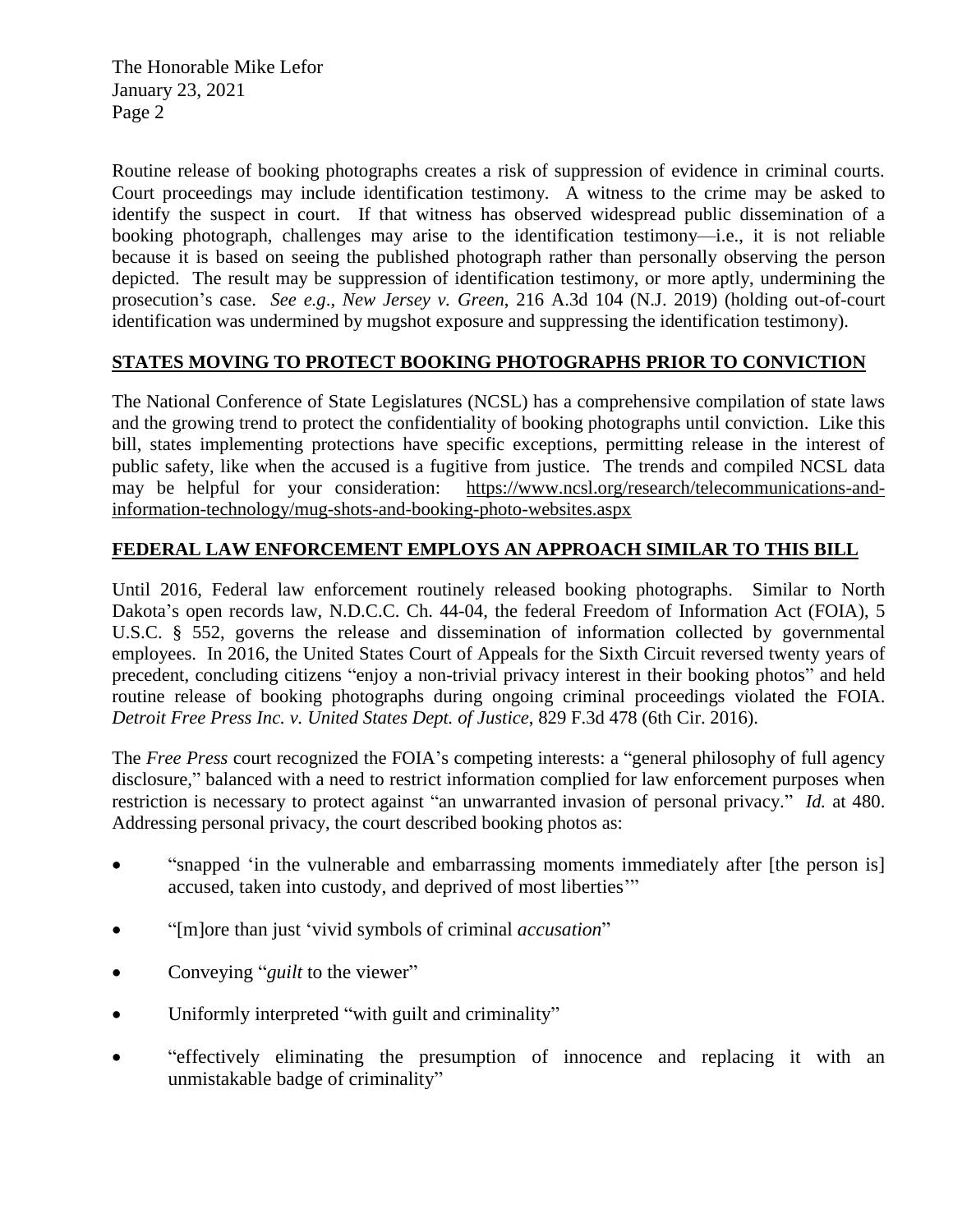The Honorable Mike Lefor January 23, 2021 Page 2

Routine release of booking photographs creates a risk of suppression of evidence in criminal courts. Court proceedings may include identification testimony. A witness to the crime may be asked to identify the suspect in court. If that witness has observed widespread public dissemination of a booking photograph, challenges may arise to the identification testimony—i.e., it is not reliable because it is based on seeing the published photograph rather than personally observing the person depicted. The result may be suppression of identification testimony, or more aptly, undermining the prosecution's case. *See e.g*., *New Jersey v. Green*, 216 A.3d 104 (N.J. 2019) (holding out-of-court identification was undermined by mugshot exposure and suppressing the identification testimony).

## **STATES MOVING TO PROTECT BOOKING PHOTOGRAPHS PRIOR TO CONVICTION**

The National Conference of State Legislatures (NCSL) has a comprehensive compilation of state laws and the growing trend to protect the confidentiality of booking photographs until conviction. Like this bill, states implementing protections have specific exceptions, permitting release in the interest of public safety, like when the accused is a fugitive from justice. The trends and compiled NCSL data may be helpful for your consideration: [https://www.ncsl.org/research/telecommunications-and](https://www.ncsl.org/research/telecommunications-and-information-technology/mug-shots-and-booking-photo-websites.aspx)[information-technology/mug-shots-and-booking-photo-websites.aspx](https://www.ncsl.org/research/telecommunications-and-information-technology/mug-shots-and-booking-photo-websites.aspx)

## **FEDERAL LAW ENFORCEMENT EMPLOYS AN APPROACH SIMILAR TO THIS BILL**

Until 2016, Federal law enforcement routinely released booking photographs. Similar to North Dakota's open records law, N.D.C.C. Ch. 44-04, the federal Freedom of Information Act (FOIA), 5 U.S.C. § 552, governs the release and dissemination of information collected by governmental employees. In 2016, the United States Court of Appeals for the Sixth Circuit reversed twenty years of precedent, concluding citizens "enjoy a non-trivial privacy interest in their booking photos" and held routine release of booking photographs during ongoing criminal proceedings violated the FOIA. *Detroit Free Press Inc. v. United States Dept. of Justice*, 829 F.3d 478 (6th Cir. 2016).

The *Free Press* court recognized the FOIA's competing interests: a "general philosophy of full agency disclosure," balanced with a need to restrict information complied for law enforcement purposes when restriction is necessary to protect against "an unwarranted invasion of personal privacy." *Id.* at 480. Addressing personal privacy, the court described booking photos as:

- "snapped 'in the vulnerable and embarrassing moments immediately after [the person is] accused, taken into custody, and deprived of most liberties'"
- "[m]ore than just 'vivid symbols of criminal *accusation*"
- Conveying "*guilt* to the viewer"
- Uniformly interpreted "with guilt and criminality"
- "effectively eliminating the presumption of innocence and replacing it with an unmistakable badge of criminality"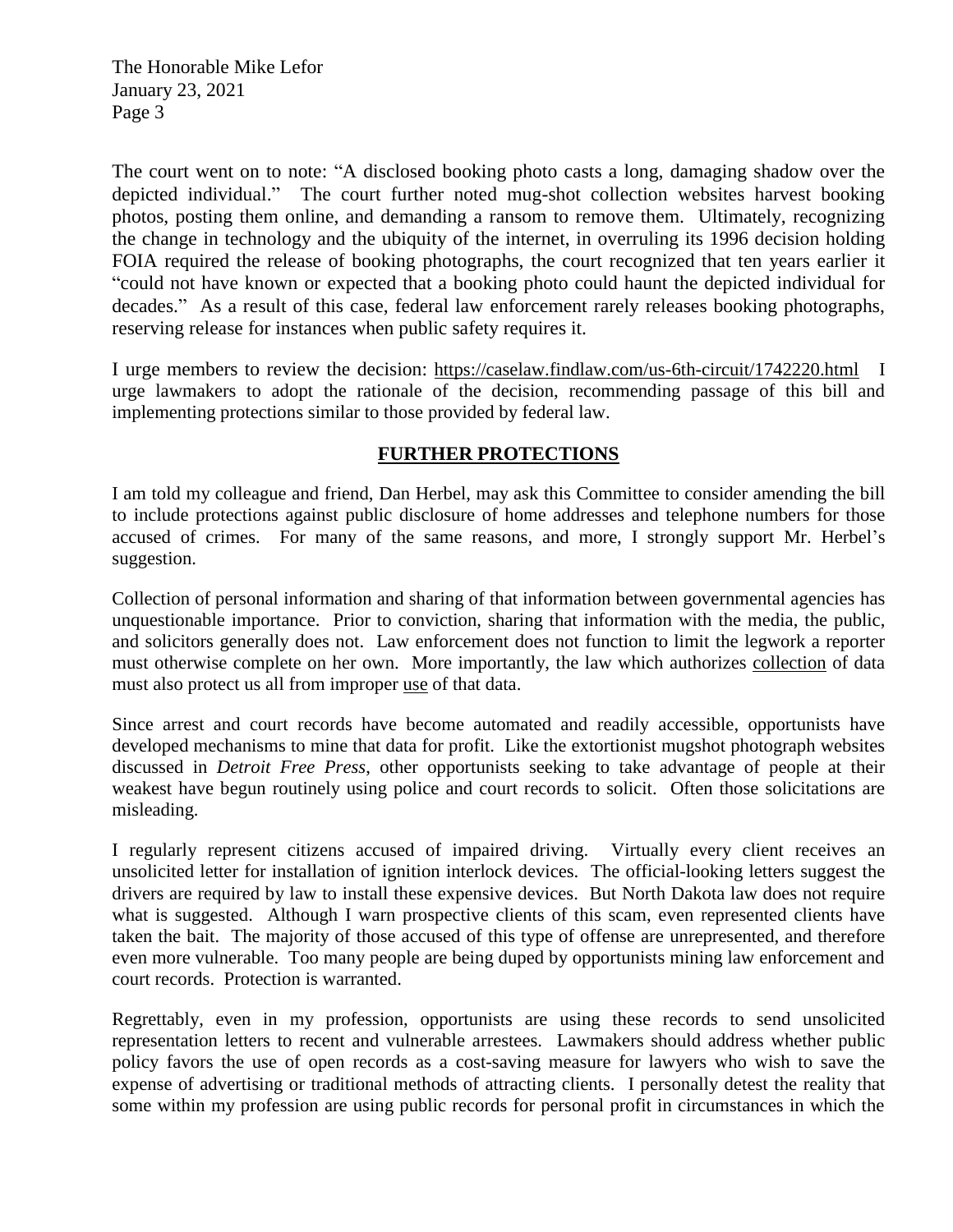The Honorable Mike Lefor January 23, 2021 Page 3

The court went on to note: "A disclosed booking photo casts a long, damaging shadow over the depicted individual." The court further noted mug-shot collection websites harvest booking photos, posting them online, and demanding a ransom to remove them. Ultimately, recognizing the change in technology and the ubiquity of the internet, in overruling its 1996 decision holding FOIA required the release of booking photographs, the court recognized that ten years earlier it "could not have known or expected that a booking photo could haunt the depicted individual for decades." As a result of this case, federal law enforcement rarely releases booking photographs, reserving release for instances when public safety requires it.

I urge members to review the decision: <https://caselaw.findlaw.com/us-6th-circuit/1742220.html> I urge lawmakers to adopt the rationale of the decision, recommending passage of this bill and implementing protections similar to those provided by federal law.

# **FURTHER PROTECTIONS**

I am told my colleague and friend, Dan Herbel, may ask this Committee to consider amending the bill to include protections against public disclosure of home addresses and telephone numbers for those accused of crimes. For many of the same reasons, and more, I strongly support Mr. Herbel's suggestion.

Collection of personal information and sharing of that information between governmental agencies has unquestionable importance. Prior to conviction, sharing that information with the media, the public, and solicitors generally does not. Law enforcement does not function to limit the legwork a reporter must otherwise complete on her own. More importantly, the law which authorizes collection of data must also protect us all from improper use of that data.

Since arrest and court records have become automated and readily accessible, opportunists have developed mechanisms to mine that data for profit. Like the extortionist mugshot photograph websites discussed in *Detroit Free Press*, other opportunists seeking to take advantage of people at their weakest have begun routinely using police and court records to solicit. Often those solicitations are misleading.

I regularly represent citizens accused of impaired driving. Virtually every client receives an unsolicited letter for installation of ignition interlock devices. The official-looking letters suggest the drivers are required by law to install these expensive devices. But North Dakota law does not require what is suggested. Although I warn prospective clients of this scam, even represented clients have taken the bait. The majority of those accused of this type of offense are unrepresented, and therefore even more vulnerable. Too many people are being duped by opportunists mining law enforcement and court records. Protection is warranted.

Regrettably, even in my profession, opportunists are using these records to send unsolicited representation letters to recent and vulnerable arrestees. Lawmakers should address whether public policy favors the use of open records as a cost-saving measure for lawyers who wish to save the expense of advertising or traditional methods of attracting clients. I personally detest the reality that some within my profession are using public records for personal profit in circumstances in which the